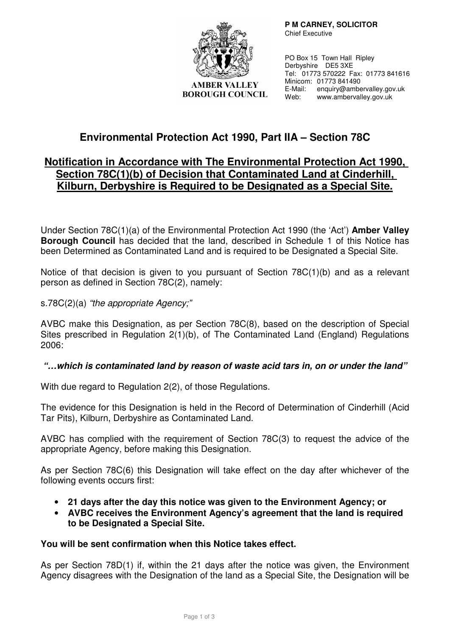

**AMBER VALLEY BOROUGH COUNCIL**   **P M CARNEY, SOLICITOR**  Chief Executive

PO Box 15 Town Hall Ripley Derbyshire DE5 3XE Tel: 01773 570222 Fax: 01773 841616 Minicom: 01773 841490 E-Mail: enquiry@ambervalley.gov.uk Web: www.ambervalley.gov.uk

# **Environmental Protection Act 1990, Part IIA – Section 78C**

### **Notification in Accordance with The Environmental Protection Act 1990, Section 78C(1)(b) of Decision that Contaminated Land at Cinderhill, Kilburn, Derbyshire is Required to be Designated as a Special Site.**

Under Section 78C(1)(a) of the Environmental Protection Act 1990 (the 'Act') **Amber Valley Borough Council** has decided that the land, described in Schedule 1 of this Notice has been Determined as Contaminated Land and is required to be Designated a Special Site.

Notice of that decision is given to you pursuant of Section 78C(1)(b) and as a relevant person as defined in Section 78C(2), namely:

s.78C(2)(a) "the appropriate Agency;"

AVBC make this Designation, as per Section 78C(8), based on the description of Special Sites prescribed in Regulation 2(1)(b), of The Contaminated Land (England) Regulations 2006:

### **"…which is contaminated land by reason of waste acid tars in, on or under the land"**

With due regard to Regulation 2(2), of those Regulations.

The evidence for this Designation is held in the Record of Determination of Cinderhill (Acid Tar Pits), Kilburn, Derbyshire as Contaminated Land.

AVBC has complied with the requirement of Section 78C(3) to request the advice of the appropriate Agency, before making this Designation.

As per Section 78C(6) this Designation will take effect on the day after whichever of the following events occurs first:

- **21 days after the day this notice was given to the Environment Agency; or**
- **AVBC receives the Environment Agency's agreement that the land is required to be Designated a Special Site.**

#### **You will be sent confirmation when this Notice takes effect.**

As per Section 78D(1) if, within the 21 days after the notice was given, the Environment Agency disagrees with the Designation of the land as a Special Site, the Designation will be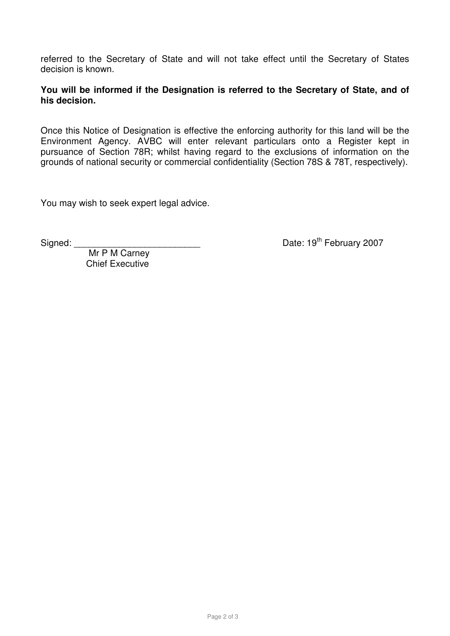referred to the Secretary of State and will not take effect until the Secretary of States decision is known.

**You will be informed if the Designation is referred to the Secretary of State, and of his decision.** 

Once this Notice of Designation is effective the enforcing authority for this land will be the Environment Agency. AVBC will enter relevant particulars onto a Register kept in pursuance of Section 78R; whilst having regard to the exclusions of information on the grounds of national security or commercial confidentiality (Section 78S & 78T, respectively).

You may wish to seek expert legal advice.

Signed: <br>
Signed: <br>
Date: 19<sup>th</sup> February 2007

Mr P M Carney Chief Executive